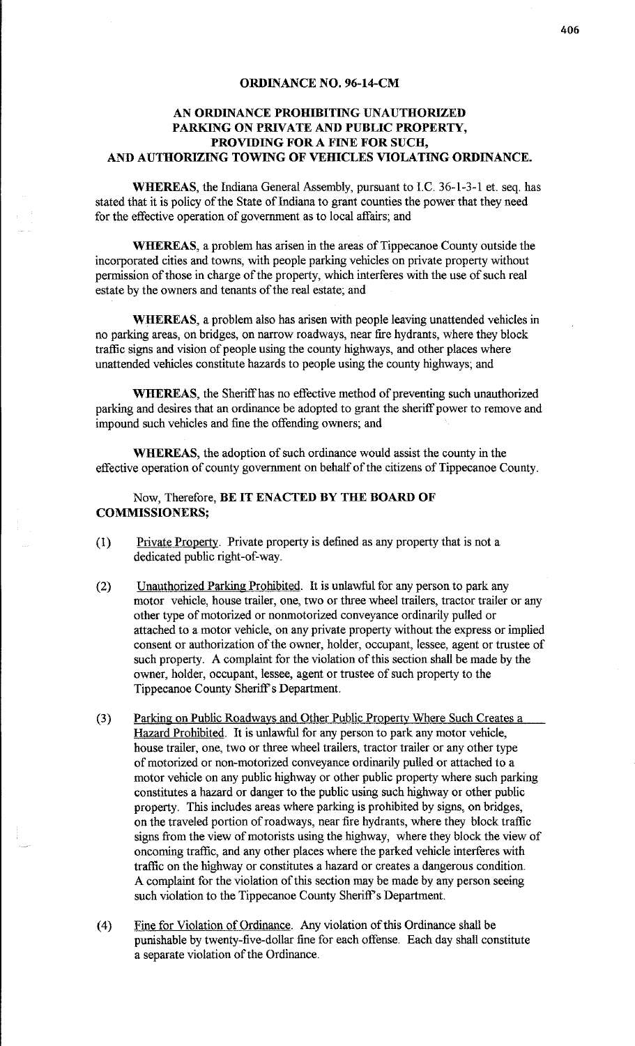## **ORDINANCE NO. 96-14-CM**

## **AN ORDINANCE PROHIBITING UNAUTHORIZED PARKING ON PRIVATE AND PUBLIC PROPERTY, PROVIDING FOR A FINE FOR SUCH, AND AUTHORIZING TOWING OF VEHICLES VIOLATING ORDINANCE.**

**WHEREAS,** the Indiana General Assembly, pursuant to I.C. 36-1-3-1 et. seq. has stated that it is policy of the State of Indiana to grant counties the power that they need for the effective operation of government as to local affairs; and

**WHEREAS,** a problem has arisen in the areas of Tippecanoe County outside the incorporated cities and towns, with people parking vehicles on private property without permission of those in charge of the property, which interferes with the use of such real estate by the owners and tenants of the real estate; and

**WHEREAS,** a problem also has arisen with people leaving unattended vehicles in no parking areas, on bridges, on narrow roadways, near fire hydrants, where they block traffic signs and vision of people using the county highways, and other places where unattended vehicles constitute hazards to people using the county highways; and

**WHEREAS,** the Sheriff has no effective method of preventing such unauthorized parking and desires that an ordinance be adopted to grant the sheriff power to remove and impound such vehicles and fine the offending owners; and

**WHEREAS,** the adoption of such ordinance would assist the county in the effective operation of county government on behalf of the citizens of Tippecanoe County.

## Now, Therefore, **BE IT ENACTED BY THE BOARD OF COMMISSIONERS;**

- (1) Private Property. Private property is defined as any property that is not a dedicated public right-of-way.
- (2) Unauthorized Parking Prohibited. It is unlawful for any person to park any motor vehicle, house trailer, one, two or three wheel trailers, tractor trailer or any other type of motorized or nonmotorized conveyance ordinarily pulled or attached to a motor vehicle, on any private property without the express or implied consent or authorization of the owner, holder, occupant, lessee, agent or trustee of such property. A complaint for the violation of this section shall be made by the owner, holder, occupant, lessee, agent or trustee of such property to the Tippecanoe County Sheriff's Department.
- (3) Parking on Public Roadways and Other Public Property Where Such Creates a Hazard Prohibited. It is unlawful for any person to park any motor vehicle, house trailer, one, two or three wheel trailers, tractor trailer or any other type of motorized or non-motorized conveyance ordinarily pulled or attached to a motor vehicle on any public highway or other public property where such parking constitutes a hazard or danger to the public using such highway or other public property. This includes areas where parking is prohibited by signs, on bridges, on the traveled portion of roadways, near fire hydrants, where they block traffic signs from the view of motorists using the highway, where they block the view of oncoming traffic, and any other places where the parked vehicle interferes with traffic on the highway or constitutes a hazard or creates a dangerous condition. A complaint for the violation of this section may be made by any person seeing such violation to the Tippecanoe County Sheriff's Department.
- (4) Fine for Violation of Ordinance. Any violation of this Ordinance shall be punishable by twenty-five-dollar fine for each offense. Each day shall constitute a separate violation of the Ordinance.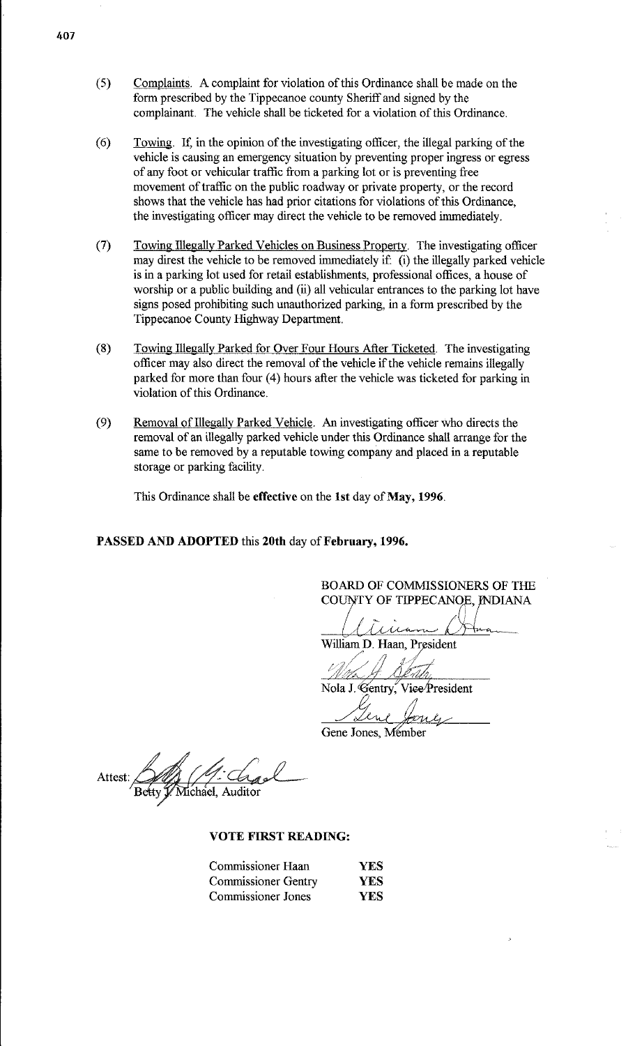- ( 5) Complaints. A complaint for violation of this Ordinance shall be made on the form prescribed by the Tippecanoe county Sheriff and signed by the complainant. The vehicle shall be ticketed for a violation of this Ordinance.
- (6) Towing. If, in the opinion of the investigating officer, the illegal parking of the vehicle is causing an emergency situation by preventing proper ingress or egress of any foot or vehicular traffic from a parking lot or is preventing free movement of traffic on the public roadway or private property, or the record shows that the vehicle has had prior citations for violations of this Ordinance, the investigating officer may direct the vehicle to be removed immediately.
- (7) Towing Illegally Parked Vehicles on Business Property. The investigating officer may direst the vehicle to be removed inunediately if: (i) the illegally parked vehicle is in a parking lot used for retail establishments, professional offices, a house of worship or a public building and (ii) all vehicular entrances to the parking lot have signs posed prohibiting such unauthorized parking, in a form prescribed by the Tippecanoe County Highway Department.
- (8) Towing Illegally Parked for Over Four Hours After Ticketed. The investigating officer may also direct the removal of the vehicle if the vehicle remains illegally parked for more than four (4) hours after the vehicle was ticketed for parking in violation of this Ordinance.
- (9) Removal of Illegally Parked Vehicle. An investigating officer who directs the removal of an illegally parked vehicle under this Ordinance shall arrange for the same to be removed by a reputable towing company and placed in a reputable storage or parking facility.

This Ordinance shall be **effective** on the **1st** day of **May, 1996.** 

**PASSED AND ADOPTED** this **20th** day of **February, 1996.** 

BOARD OF COMMISSIONERS OF THE COUNTY OF TIPPECANOE, INDIANA

-- <sup>~</sup>/'\;

William D. Haan, President **Julie 1996** /(.}.,,t::'7Zt:/!J

Nola J. Gentry, Vice President

Gene, Gene,

Attest: Michael. Auditor

**VOTE FIRST READING:** 

| Commissioner Haan          | YES  |
|----------------------------|------|
| <b>Commissioner Gentry</b> | YES. |
| <b>Commissioner Jones</b>  | YES  |